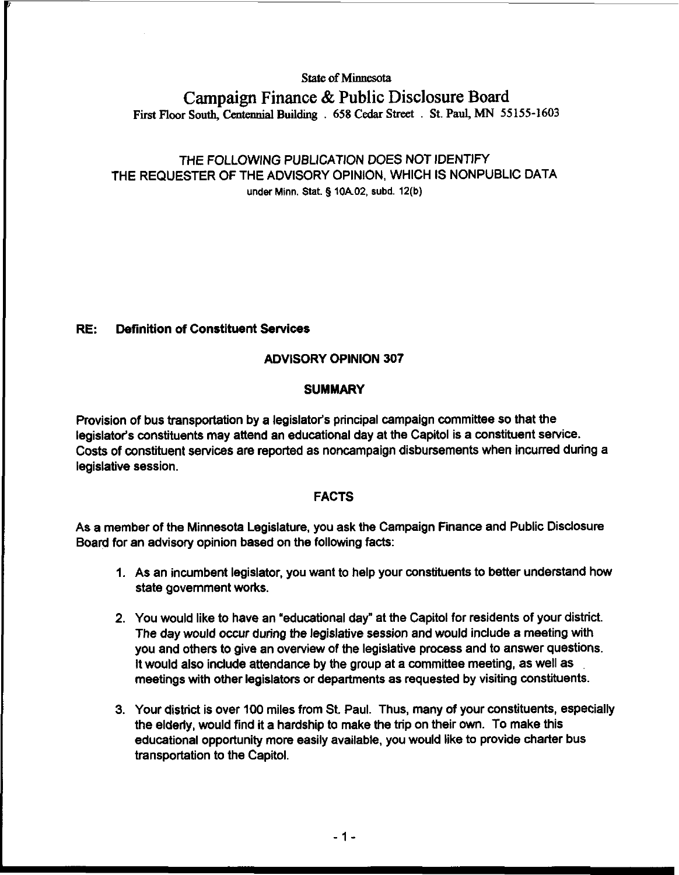**State of Minnesota** 

# **Campaign Finance** & **Public Disclosure Board First Floor South, Centennial Building** . **658 Cedar Street** . **St. Paul, MN 55155-1603**

## THE FOLLOWING PUBLICATION DOES NOT IDENTIFY THE REQUESTER OF THE ADVISORY OPINION, WHICH IS NONPUBLIC DATA under Minn. Stat. **5 10A02, subd. 12(b)**

### RE: Definition of Constituent **Services**

### ADVISORY OPINION 307

### **SUMMARY**

Provision of bus transportation by a legislator's principal campaign committee so that the legislator's constituents may attend an educational day at the Capitol is a constituent service. Costs of constituent services are reported as noncampaign disbursements when incurred during a legislative session.

#### FACTS

As a member of the Minnesota Legislature, you ask the Campaign Finance and Public Disclosure Board for an advisory opinion based on the following facts:

- 1. As an incumbent legislator, you want to help your constituents to better understand how state government works.
- 2. You would like to have an 'educational day" at the Capitol for residents of your district. The day would occur during the legislative session and would include a meeting with you and others to give an overview of the legislative process and to answer questions. It would also include attendance by the group at a committee meeting, as well as meetings with other legislators or departments as requested by visiting constituents.
- 3. Your district is over 100 miles from St. Paul. Thus, many of your constituents, especially the elderly, would find it a hardship to make the trip on their own. To make this educational opportunity more easily available, you would like to provide charter bus transportation to the Capitol.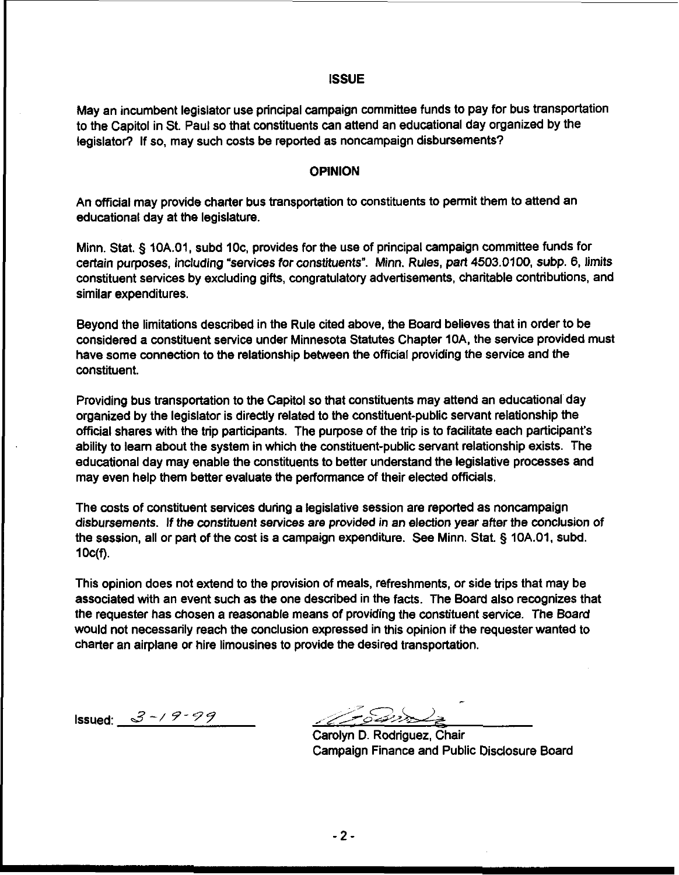#### **ISSUE**

May an incumbent legislator use principal campaign committee funds to pay for bus transportation to the Capitol in St. Paul so that constituents can attend an educational day organized by the legislator? If so, may such costs be reported as noncampaign disbursements?

#### **OPINION**

An official may provide charter bus transportation to constituents to permit them to attend an educational day at the legislature.

Minn. Stat. § 1OA.01, subd IOc, provides for the use of principal campaign committee funds for certain purposes, including "services for constituents". Minn. Rules, part 4503.0100, subp. 6, limits constituent services by excluding gifts, congratulatory advertisements, charitable contributions, and similar expenditures.

Beyond the limitations described in the Rule cited above, the Board believes that in order to be considered a constituent service under Minnesota Statutes Chapter lOA, the service provided must have some connection to the relationship between the official providing the service and the constituent.

Providing bus transportation to the Capitol so that constituents may attend an educational day organized by the legislator is directly related to the constituent-public servant relationship the official shares with the trip participants. The purpose of the trip is to facilitate each participant's ability to learn about the system in which the constituent-public servant relationship exists. The educational day may enable the constituents to better understand the legislative processes and may even help them better evaluate the performance of their elected officials.

The costs of constituent services during a legislative session are reported as noncampaign disbursements. If the constituent services are provided in an election year after the conclusion of disputsements. It are constituent services are previded in an election year and the conclusion.<br>the session, all or part of the cost is a campaign expenditure. See Minn. Stat. § 10A.01, subd.<br>10c(f).

This opinion does not extend to the provision of meals, refreshments, or side trips that may be associated with an event such as the one described in the facts. The Board also recognizes that the requester has chosen a reasonable means of providing the constituent service. The Board would not necessarily reach the conclusion expressed in this opinion if the requester wanted to charter an airplane or hire limousines to provide the desired transportation.

- Issued: *3* -/ *9-* 7 7 .. *d>G&?* -

Carolyn D. Rodriguez, Chair Campaign Finance and Public Disclosure Board